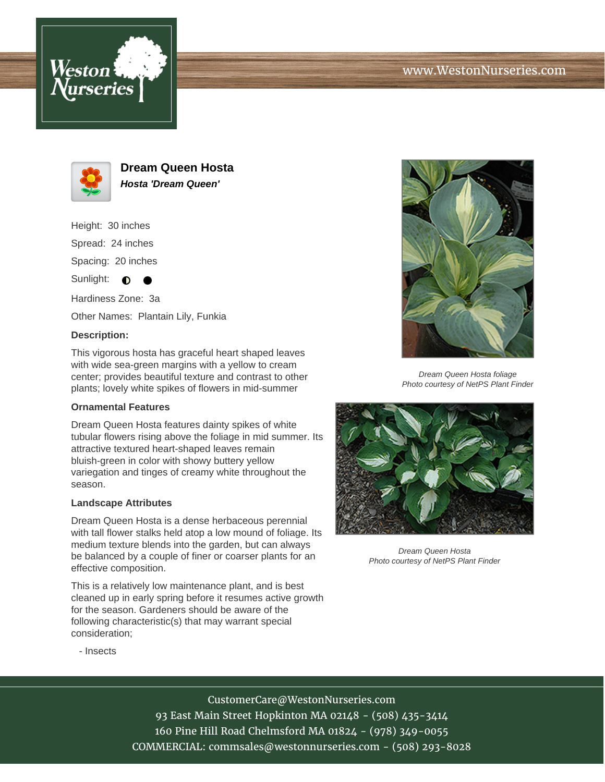





**Dream Queen Hosta Hosta 'Dream Queen'**

Height: 30 inches Spread: 24 inches Spacing: 20 inches Sunlight:  $\bullet$ ●

Hardiness Zone: 3a Other Names: Plantain Lily, Funkia

## **Description:**

This vigorous hosta has graceful heart shaped leaves with wide sea-green margins with a yellow to cream center; provides beautiful texture and contrast to other plants; lovely white spikes of flowers in mid-summer

## **Ornamental Features**

Dream Queen Hosta features dainty spikes of white tubular flowers rising above the foliage in mid summer. Its attractive textured heart-shaped leaves remain bluish-green in color with showy buttery yellow variegation and tinges of creamy white throughout the season.

## **Landscape Attributes**

Dream Queen Hosta is a dense herbaceous perennial with tall flower stalks held atop a low mound of foliage. Its medium texture blends into the garden, but can always be balanced by a couple of finer or coarser plants for an effective composition.

This is a relatively low maintenance plant, and is best cleaned up in early spring before it resumes active growth for the season. Gardeners should be aware of the following characteristic(s) that may warrant special consideration;



Dream Queen Hosta foliage Photo courtesy of NetPS Plant Finder



Dream Queen Hosta Photo courtesy of NetPS Plant Finder

- Insects

CustomerCare@WestonNurseries.com 93 East Main Street Hopkinton MA 02148 - (508) 435-3414 160 Pine Hill Road Chelmsford MA 01824 - (978) 349-0055 COMMERCIAL: commsales@westonnurseries.com - (508) 293-8028